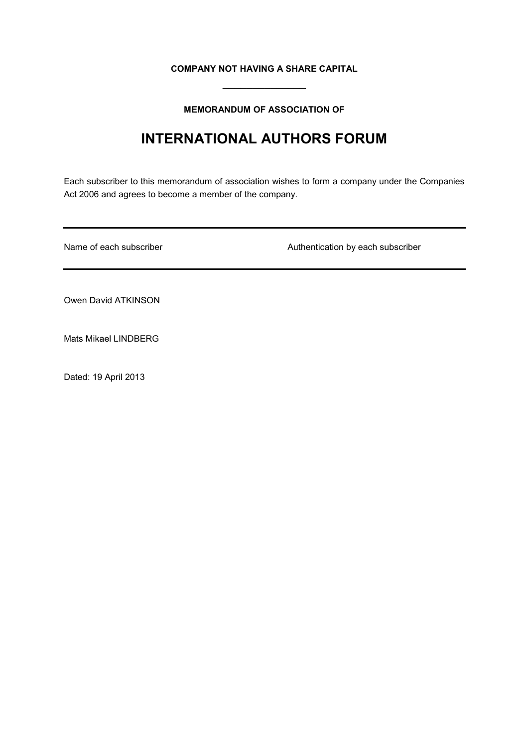## **COMPANY NOT HAVING A SHARE CAPITAL**  $\overline{\phantom{a}}$

## **MEMORANDUM OF ASSOCIATION OF**

# **INTERNATIONAL AUTHORS FORUM**

Each subscriber to this memorandum of association wishes to form a company under the Companies Act 2006 and agrees to become a member of the company.

Name of each subscriber **Authentication by each subscriber** Authentication by each subscriber

Owen David ATKINSON

Mats Mikael LINDBERG

Dated: 19 April 2013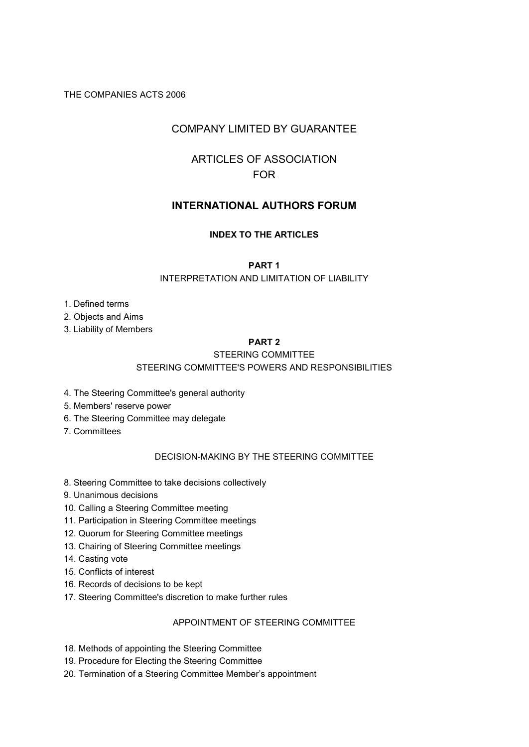## THE COMPANIES ACTS 2006

## COMPANY LIMITED BY GUARANTEE

## ARTICLES OF ASSOCIATION FOR

## **INTERNATIONAL AUTHORS FORUM**

## **INDEX TO THE ARTICLES**

## **PART 1**

### INTERPRETATION AND LIMITATION OF LIABILITY

- 1. Defined terms
- 2. Objects and Aims
- 3. Liability of Members

## **PART 2**

## STEERING COMMITTEE

## STEERING COMMITTEE'S POWERS AND RESPONSIBILITIES

- 4. The Steering Committee's general authority
- 5. Members' reserve power
- 6. The Steering Committee may delegate
- 7. Committees

## DECISION-MAKING BY THE STEERING COMMITTEE

- 8. Steering Committee to take decisions collectively
- 9. Unanimous decisions
- 10. Calling a Steering Committee meeting
- 11. Participation in Steering Committee meetings
- 12. Quorum for Steering Committee meetings
- 13. Chairing of Steering Committee meetings
- 14. Casting vote
- 15. Conflicts of interest
- 16. Records of decisions to be kept
- 17. Steering Committee's discretion to make further rules

### APPOINTMENT OF STEERING COMMITTEE

- 18. Methods of appointing the Steering Committee
- 19. Procedure for Electing the Steering Committee
- 20. Termination of a Steering Committee Member's appointment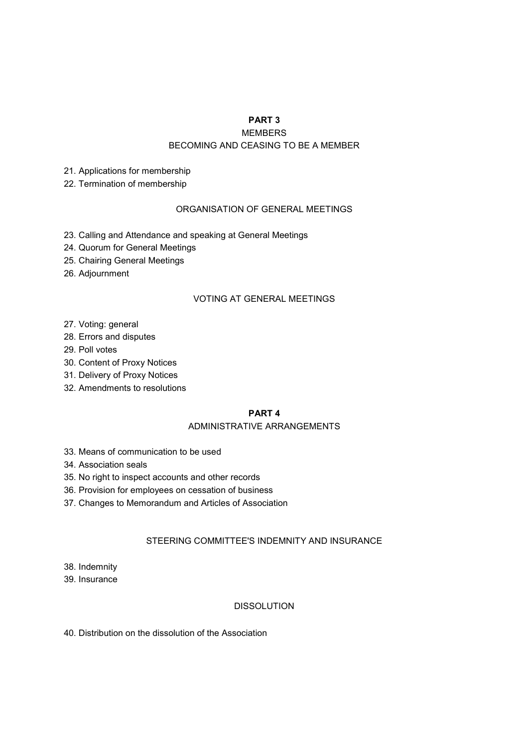## **PART 3**

MEMBERS

## BECOMING AND CEASING TO BE A MEMBER

- 21. Applications for membership
- 22. Termination of membership

## ORGANISATION OF GENERAL MEETINGS

- 23. Calling and Attendance and speaking at General Meetings
- 24. Quorum for General Meetings
- 25. Chairing General Meetings
- 26. Adjournment

## VOTING AT GENERAL MEETINGS

- 27. Voting: general
- 28. Errors and disputes
- 29. Poll votes
- 30. Content of Proxy Notices
- 31. Delivery of Proxy Notices
- 32. Amendments to resolutions

## **PART 4**

## ADMINISTRATIVE ARRANGEMENTS

- 33. Means of communication to be used
- 34. Association seals
- 35. No right to inspect accounts and other records
- 36. Provision for employees on cessation of business
- 37. Changes to Memorandum and Articles of Association

## STEERING COMMITTEE'S INDEMNITY AND INSURANCE

- 38. Indemnity
- 39. Insurance

## DISSOLUTION

40. Distribution on the dissolution of the Association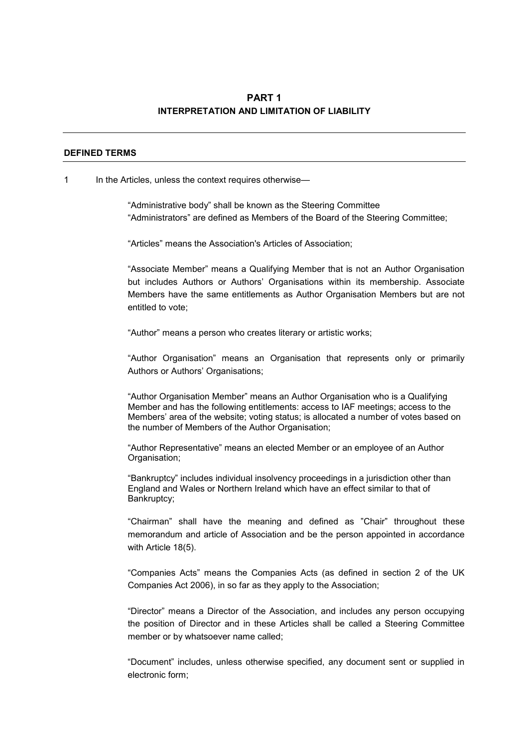## **PART 1 INTERPRETATION AND LIMITATION OF LIABILITY**

#### **DEFINED TERMS**

#### 1 In the Articles, unless the context requires otherwise—

"Administrative body" shall be known as the Steering Committee "Administrators" are defined as Members of the Board of the Steering Committee;

"Articles" means the Association's Articles of Association;

"Associate Member" means a Qualifying Member that is not an Author Organisation but includes Authors or Authors' Organisations within its membership. Associate Members have the same entitlements as Author Organisation Members but are not entitled to vote;

"Author" means a person who creates literary or artistic works;

"Author Organisation" means an Organisation that represents only or primarily Authors or Authors' Organisations;

"Author Organisation Member" means an Author Organisation who is a Qualifying Member and has the following entitlements: access to IAF meetings; access to the Members' area of the website; voting status; is allocated a number of votes based on the number of Members of the Author Organisation;

"Author Representative" means an elected Member or an employee of an Author Organisation;

"Bankruptcy" includes individual insolvency proceedings in a jurisdiction other than England and Wales or Northern Ireland which have an effect similar to that of Bankruptcy;

"Chairman" shall have the meaning and defined as "Chair" throughout these memorandum and article of Association and be the person appointed in accordance with Article 18(5).

"Companies Acts" means the Companies Acts (as defined in section 2 of the UK Companies Act 2006), in so far as they apply to the Association;

"Director" means a Director of the Association, and includes any person occupying the position of Director and in these Articles shall be called a Steering Committee member or by whatsoever name called;

"Document" includes, unless otherwise specified, any document sent or supplied in electronic form;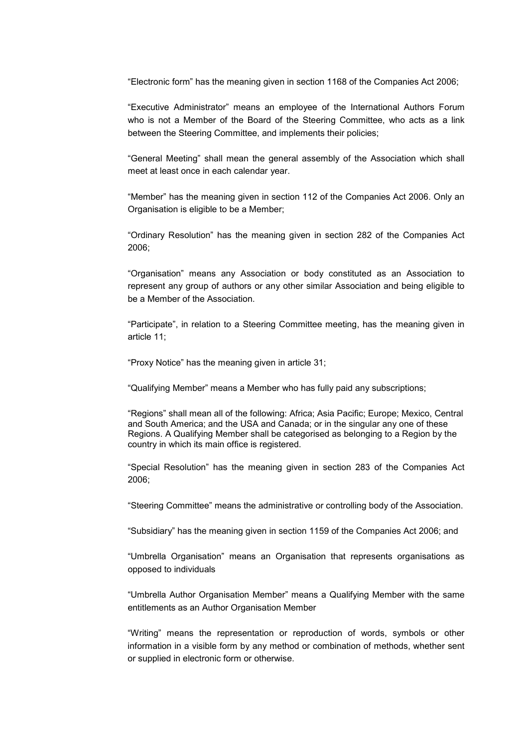"Electronic form" has the meaning given in section 1168 of the Companies Act 2006;

"Executive Administrator" means an employee of the International Authors Forum who is not a Member of the Board of the Steering Committee, who acts as a link between the Steering Committee, and implements their policies;

"General Meeting" shall mean the general assembly of the Association which shall meet at least once in each calendar year.

"Member" has the meaning given in section 112 of the Companies Act 2006. Only an Organisation is eligible to be a Member;

"Ordinary Resolution" has the meaning given in section 282 of the Companies Act 2006;

"Organisation" means any Association or body constituted as an Association to represent any group of authors or any other similar Association and being eligible to be a Member of the Association.

"Participate", in relation to a Steering Committee meeting, has the meaning given in article 11;

"Proxy Notice" has the meaning given in article 31;

"Qualifying Member" means a Member who has fully paid any subscriptions;

"Regions" shall mean all of the following: Africa; Asia Pacific; Europe; Mexico, Central and South America; and the USA and Canada; or in the singular any one of these Regions. A Qualifying Member shall be categorised as belonging to a Region by the country in which its main office is registered.

"Special Resolution" has the meaning given in section 283 of the Companies Act 2006;

"Steering Committee" means the administrative or controlling body of the Association.

"Subsidiary" has the meaning given in section 1159 of the Companies Act 2006; and

"Umbrella Organisation" means an Organisation that represents organisations as opposed to individuals

"Umbrella Author Organisation Member" means a Qualifying Member with the same entitlements as an Author Organisation Member

"Writing" means the representation or reproduction of words, symbols or other information in a visible form by any method or combination of methods, whether sent or supplied in electronic form or otherwise.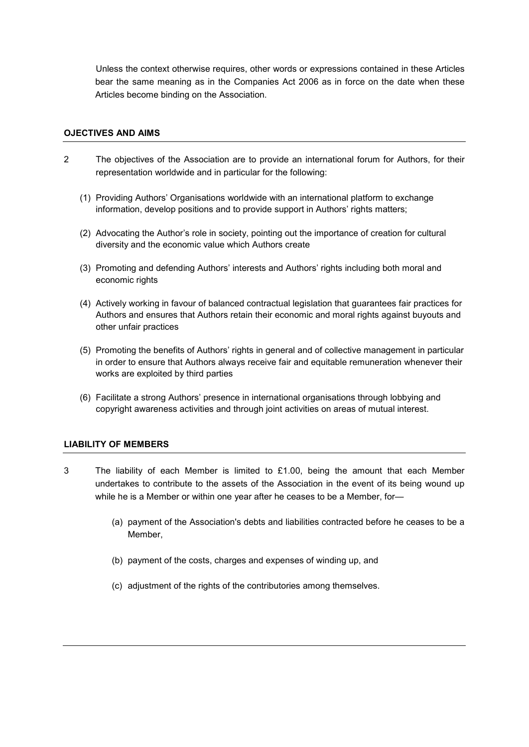Unless the context otherwise requires, other words or expressions contained in these Articles bear the same meaning as in the Companies Act 2006 as in force on the date when these Articles become binding on the Association.

## **OJECTIVES AND AIMS**

- 2 The objectives of the Association are to provide an international forum for Authors, for their representation worldwide and in particular for the following:
	- (1) Providing Authors' Organisations worldwide with an international platform to exchange information, develop positions and to provide support in Authors' rights matters;
	- (2) Advocating the Author's role in society, pointing out the importance of creation for cultural diversity and the economic value which Authors create
	- (3) Promoting and defending Authors' interests and Authors' rights including both moral and economic rights
	- (4) Actively working in favour of balanced contractual legislation that guarantees fair practices for Authors and ensures that Authors retain their economic and moral rights against buyouts and other unfair practices
	- (5) Promoting the benefits of Authors' rights in general and of collective management in particular in order to ensure that Authors always receive fair and equitable remuneration whenever their works are exploited by third parties
	- (6) Facilitate a strong Authors' presence in international organisations through lobbying and copyright awareness activities and through joint activities on areas of mutual interest.

## **LIABILITY OF MEMBERS**

- 3 The liability of each Member is limited to £1.00, being the amount that each Member undertakes to contribute to the assets of the Association in the event of its being wound up while he is a Member or within one year after he ceases to be a Member, for—
	- (a) payment of the Association's debts and liabilities contracted before he ceases to be a Member,
	- (b) payment of the costs, charges and expenses of winding up, and
	- (c) adjustment of the rights of the contributories among themselves.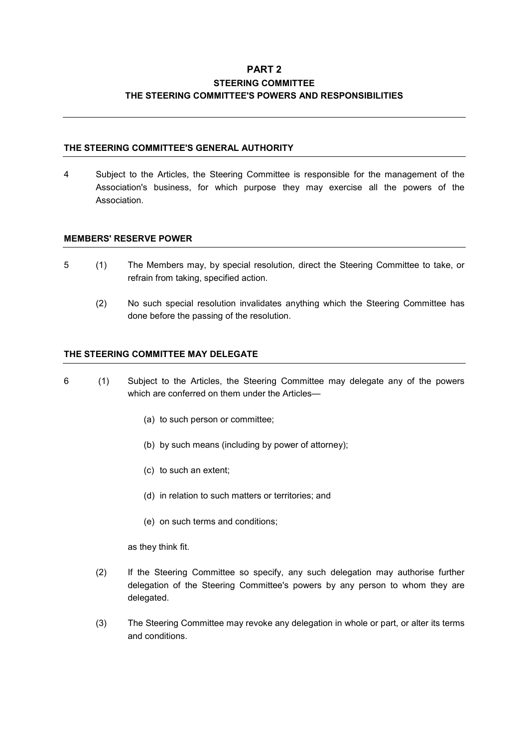## **PART 2 STEERING COMMITTEE THE STEERING COMMITTEE'S POWERS AND RESPONSIBILITIES**

## **THE STEERING COMMITTEE'S GENERAL AUTHORITY**

4 Subject to the Articles, the Steering Committee is responsible for the management of the Association's business, for which purpose they may exercise all the powers of the Association.

## **MEMBERS' RESERVE POWER**

- 5 (1) The Members may, by special resolution, direct the Steering Committee to take, or refrain from taking, specified action.
	- (2) No such special resolution invalidates anything which the Steering Committee has done before the passing of the resolution.

## **THE STEERING COMMITTEE MAY DELEGATE**

- 6 (1) Subject to the Articles, the Steering Committee may delegate any of the powers which are conferred on them under the Articles-
	- (a) to such person or committee;
	- (b) by such means (including by power of attorney);
	- (c) to such an extent;
	- (d) in relation to such matters or territories; and
	- (e) on such terms and conditions;

as they think fit.

- (2) If the Steering Committee so specify, any such delegation may authorise further delegation of the Steering Committee's powers by any person to whom they are delegated.
- (3) The Steering Committee may revoke any delegation in whole or part, or alter its terms and conditions.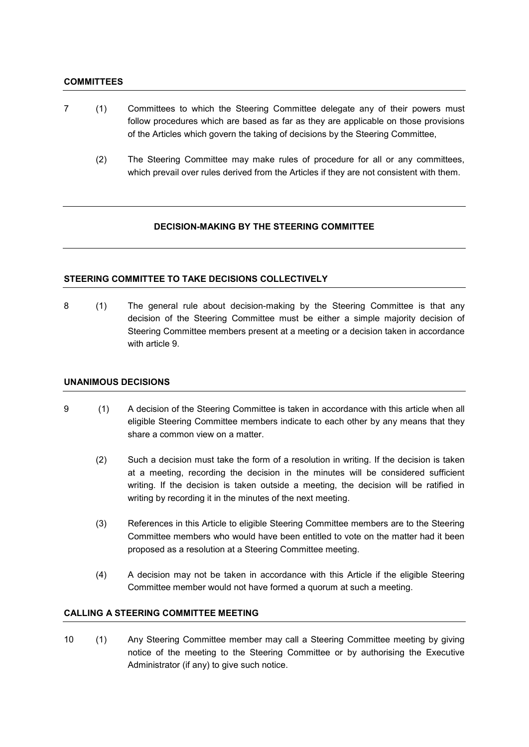#### **COMMITTEES**

- 7 (1) Committees to which the Steering Committee delegate any of their powers must follow procedures which are based as far as they are applicable on those provisions of the Articles which govern the taking of decisions by the Steering Committee,
	- (2) The Steering Committee may make rules of procedure for all or any committees, which prevail over rules derived from the Articles if they are not consistent with them.

### **DECISION-MAKING BY THE STEERING COMMITTEE**

### **STEERING COMMITTEE TO TAKE DECISIONS COLLECTIVELY**

8 (1) The general rule about decision-making by the Steering Committee is that any decision of the Steering Committee must be either a simple majority decision of Steering Committee members present at a meeting or a decision taken in accordance with article 9.

#### **UNANIMOUS DECISIONS**

- 9 (1) A decision of the Steering Committee is taken in accordance with this article when all eligible Steering Committee members indicate to each other by any means that they share a common view on a matter.
	- (2) Such a decision must take the form of a resolution in writing. If the decision is taken at a meeting, recording the decision in the minutes will be considered sufficient writing. If the decision is taken outside a meeting, the decision will be ratified in writing by recording it in the minutes of the next meeting.
	- (3) References in this Article to eligible Steering Committee members are to the Steering Committee members who would have been entitled to vote on the matter had it been proposed as a resolution at a Steering Committee meeting.
	- (4) A decision may not be taken in accordance with this Article if the eligible Steering Committee member would not have formed a quorum at such a meeting.

#### **CALLING A STEERING COMMITTEE MEETING**

10 (1) Any Steering Committee member may call a Steering Committee meeting by giving notice of the meeting to the Steering Committee or by authorising the Executive Administrator (if any) to give such notice.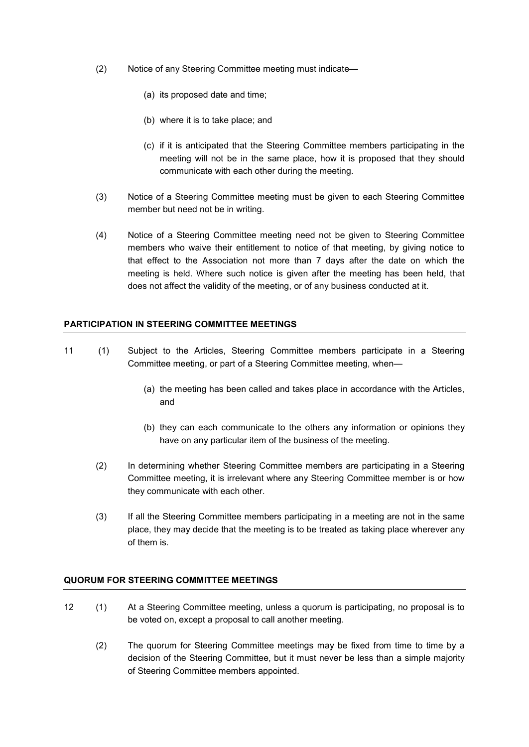- (2) Notice of any Steering Committee meeting must indicate—
	- (a) its proposed date and time;
	- (b) where it is to take place; and
	- (c) if it is anticipated that the Steering Committee members participating in the meeting will not be in the same place, how it is proposed that they should communicate with each other during the meeting.
- (3) Notice of a Steering Committee meeting must be given to each Steering Committee member but need not be in writing.
- (4) Notice of a Steering Committee meeting need not be given to Steering Committee members who waive their entitlement to notice of that meeting, by giving notice to that effect to the Association not more than 7 days after the date on which the meeting is held. Where such notice is given after the meeting has been held, that does not affect the validity of the meeting, or of any business conducted at it.

### **PARTICIPATION IN STEERING COMMITTEE MEETINGS**

- 11 (1) Subject to the Articles, Steering Committee members participate in a Steering Committee meeting, or part of a Steering Committee meeting, when—
	- (a) the meeting has been called and takes place in accordance with the Articles, and
	- (b) they can each communicate to the others any information or opinions they have on any particular item of the business of the meeting.
	- (2) In determining whether Steering Committee members are participating in a Steering Committee meeting, it is irrelevant where any Steering Committee member is or how they communicate with each other.
	- (3) If all the Steering Committee members participating in a meeting are not in the same place, they may decide that the meeting is to be treated as taking place wherever any of them is.

#### **QUORUM FOR STEERING COMMITTEE MEETINGS**

- 12 (1) At a Steering Committee meeting, unless a quorum is participating, no proposal is to be voted on, except a proposal to call another meeting.
	- (2) The quorum for Steering Committee meetings may be fixed from time to time by a decision of the Steering Committee, but it must never be less than a simple majority of Steering Committee members appointed.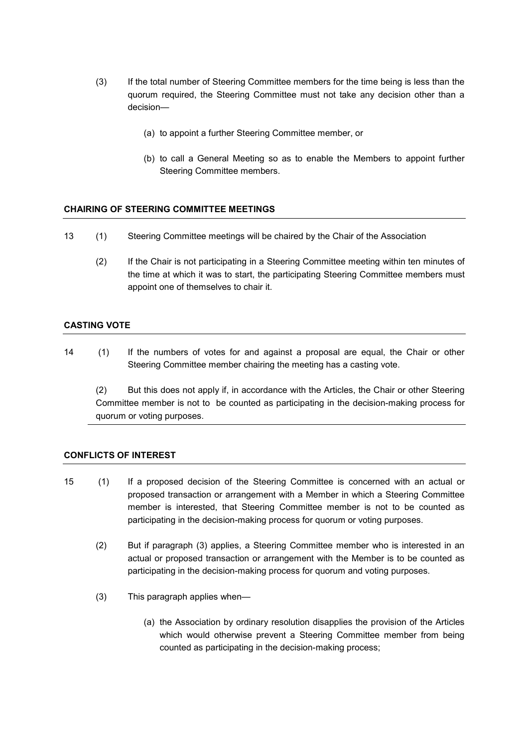- (3) If the total number of Steering Committee members for the time being is less than the quorum required, the Steering Committee must not take any decision other than a decision—
	- (a) to appoint a further Steering Committee member, or
	- (b) to call a General Meeting so as to enable the Members to appoint further Steering Committee members.

## **CHAIRING OF STEERING COMMITTEE MEETINGS**

- 13 (1) Steering Committee meetings will be chaired by the Chair of the Association
	- (2) If the Chair is not participating in a Steering Committee meeting within ten minutes of the time at which it was to start, the participating Steering Committee members must appoint one of themselves to chair it.

## **CASTING VOTE**

14 (1) If the numbers of votes for and against a proposal are equal, the Chair or other Steering Committee member chairing the meeting has a casting vote.

(2) But this does not apply if, in accordance with the Articles, the Chair or other Steering Committee member is not to be counted as participating in the decision-making process for quorum or voting purposes.

#### **CONFLICTS OF INTEREST**

- 15 (1) If a proposed decision of the Steering Committee is concerned with an actual or proposed transaction or arrangement with a Member in which a Steering Committee member is interested, that Steering Committee member is not to be counted as participating in the decision-making process for quorum or voting purposes.
	- (2) But if paragraph (3) applies, a Steering Committee member who is interested in an actual or proposed transaction or arrangement with the Member is to be counted as participating in the decision-making process for quorum and voting purposes.
	- (3) This paragraph applies when—
		- (a) the Association by ordinary resolution disapplies the provision of the Articles which would otherwise prevent a Steering Committee member from being counted as participating in the decision-making process;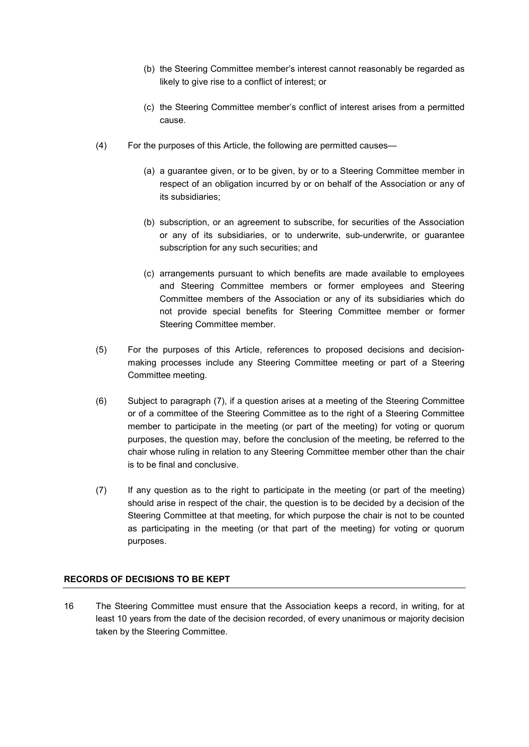- (b) the Steering Committee member's interest cannot reasonably be regarded as likely to give rise to a conflict of interest; or
- (c) the Steering Committee member's conflict of interest arises from a permitted cause.
- (4) For the purposes of this Article, the following are permitted causes—
	- (a) a guarantee given, or to be given, by or to a Steering Committee member in respect of an obligation incurred by or on behalf of the Association or any of its subsidiaries;
	- (b) subscription, or an agreement to subscribe, for securities of the Association or any of its subsidiaries, or to underwrite, sub-underwrite, or guarantee subscription for any such securities; and
	- (c) arrangements pursuant to which benefits are made available to employees and Steering Committee members or former employees and Steering Committee members of the Association or any of its subsidiaries which do not provide special benefits for Steering Committee member or former Steering Committee member.
- (5) For the purposes of this Article, references to proposed decisions and decisionmaking processes include any Steering Committee meeting or part of a Steering Committee meeting.
- (6) Subject to paragraph (7), if a question arises at a meeting of the Steering Committee or of a committee of the Steering Committee as to the right of a Steering Committee member to participate in the meeting (or part of the meeting) for voting or quorum purposes, the question may, before the conclusion of the meeting, be referred to the chair whose ruling in relation to any Steering Committee member other than the chair is to be final and conclusive.
- (7) If any question as to the right to participate in the meeting (or part of the meeting) should arise in respect of the chair, the question is to be decided by a decision of the Steering Committee at that meeting, for which purpose the chair is not to be counted as participating in the meeting (or that part of the meeting) for voting or quorum purposes.

## **RECORDS OF DECISIONS TO BE KEPT**

16 The Steering Committee must ensure that the Association keeps a record, in writing, for at least 10 years from the date of the decision recorded, of every unanimous or majority decision taken by the Steering Committee.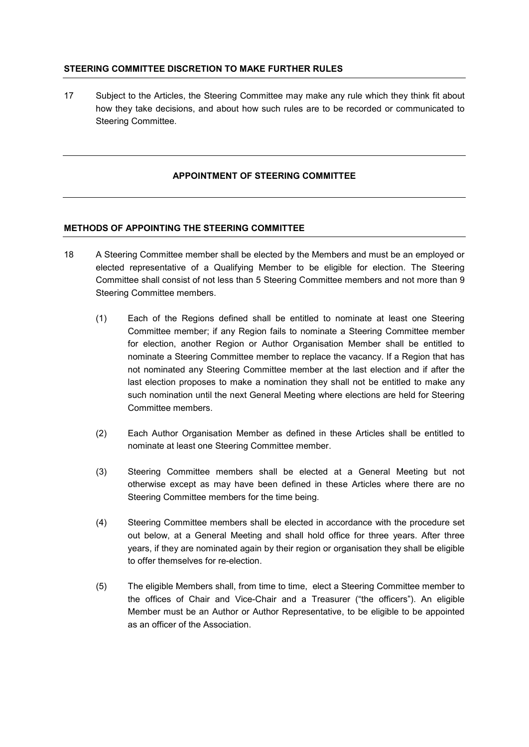## **STEERING COMMITTEE DISCRETION TO MAKE FURTHER RULES**

17 Subject to the Articles, the Steering Committee may make any rule which they think fit about how they take decisions, and about how such rules are to be recorded or communicated to Steering Committee.

## **APPOINTMENT OF STEERING COMMITTEE**

## **METHODS OF APPOINTING THE STEERING COMMITTEE**

- 18 A Steering Committee member shall be elected by the Members and must be an employed or elected representative of a Qualifying Member to be eligible for election. The Steering Committee shall consist of not less than 5 Steering Committee members and not more than 9 Steering Committee members.
	- (1) Each of the Regions defined shall be entitled to nominate at least one Steering Committee member; if any Region fails to nominate a Steering Committee member for election, another Region or Author Organisation Member shall be entitled to nominate a Steering Committee member to replace the vacancy. If a Region that has not nominated any Steering Committee member at the last election and if after the last election proposes to make a nomination they shall not be entitled to make any such nomination until the next General Meeting where elections are held for Steering Committee members.
	- (2) Each Author Organisation Member as defined in these Articles shall be entitled to nominate at least one Steering Committee member.
	- (3) Steering Committee members shall be elected at a General Meeting but not otherwise except as may have been defined in these Articles where there are no Steering Committee members for the time being.
	- (4) Steering Committee members shall be elected in accordance with the procedure set out below, at a General Meeting and shall hold office for three years. After three years, if they are nominated again by their region or organisation they shall be eligible to offer themselves for re-election.
	- (5) The eligible Members shall, from time to time, elect a Steering Committee member to the offices of Chair and Vice-Chair and a Treasurer ("the officers"). An eligible Member must be an Author or Author Representative, to be eligible to be appointed as an officer of the Association.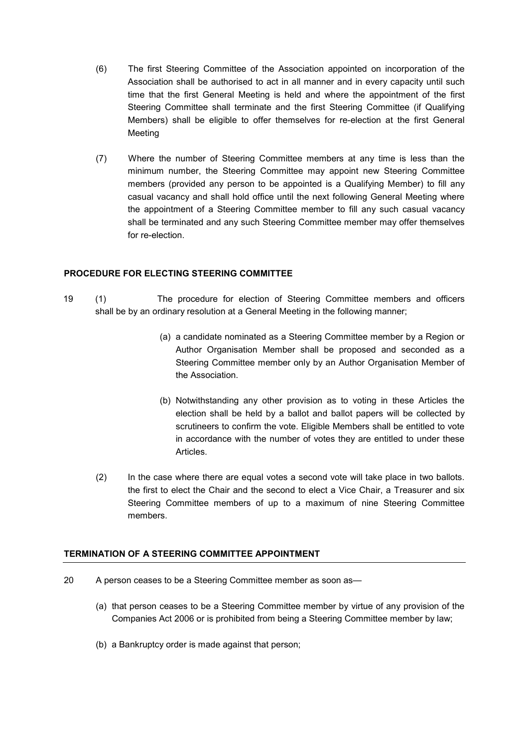- (6) The first Steering Committee of the Association appointed on incorporation of the Association shall be authorised to act in all manner and in every capacity until such time that the first General Meeting is held and where the appointment of the first Steering Committee shall terminate and the first Steering Committee (if Qualifying Members) shall be eligible to offer themselves for re-election at the first General Meeting
- (7) Where the number of Steering Committee members at any time is less than the minimum number, the Steering Committee may appoint new Steering Committee members (provided any person to be appointed is a Qualifying Member) to fill any casual vacancy and shall hold office until the next following General Meeting where the appointment of a Steering Committee member to fill any such casual vacancy shall be terminated and any such Steering Committee member may offer themselves for re-election.

## **PROCEDURE FOR ELECTING STEERING COMMITTEE**

- 19 (1) The procedure for election of Steering Committee members and officers shall be by an ordinary resolution at a General Meeting in the following manner;
	- (a) a candidate nominated as a Steering Committee member by a Region or Author Organisation Member shall be proposed and seconded as a Steering Committee member only by an Author Organisation Member of the Association.
	- (b) Notwithstanding any other provision as to voting in these Articles the election shall be held by a ballot and ballot papers will be collected by scrutineers to confirm the vote. Eligible Members shall be entitled to vote in accordance with the number of votes they are entitled to under these Articles.
	- (2) In the case where there are equal votes a second vote will take place in two ballots. the first to elect the Chair and the second to elect a Vice Chair, a Treasurer and six Steering Committee members of up to a maximum of nine Steering Committee members.

## **TERMINATION OF A STEERING COMMITTEE APPOINTMENT**

- 20 A person ceases to be a Steering Committee member as soon as—
	- (a) that person ceases to be a Steering Committee member by virtue of any provision of the Companies Act 2006 or is prohibited from being a Steering Committee member by law;
	- (b) a Bankruptcy order is made against that person;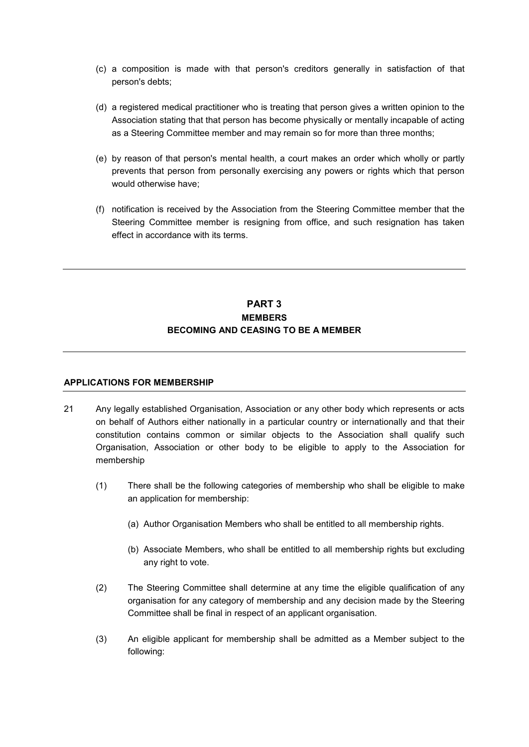- (c) a composition is made with that person's creditors generally in satisfaction of that person's debts;
- (d) a registered medical practitioner who is treating that person gives a written opinion to the Association stating that that person has become physically or mentally incapable of acting as a Steering Committee member and may remain so for more than three months;
- (e) by reason of that person's mental health, a court makes an order which wholly or partly prevents that person from personally exercising any powers or rights which that person would otherwise have;
- (f) notification is received by the Association from the Steering Committee member that the Steering Committee member is resigning from office, and such resignation has taken effect in accordance with its terms.

## **PART 3 MEMBERS BECOMING AND CEASING TO BE A MEMBER**

## **APPLICATIONS FOR MEMBERSHIP**

- 21 Any legally established Organisation, Association or any other body which represents or acts on behalf of Authors either nationally in a particular country or internationally and that their constitution contains common or similar objects to the Association shall qualify such Organisation, Association or other body to be eligible to apply to the Association for membership
	- (1) There shall be the following categories of membership who shall be eligible to make an application for membership:
		- (a) Author Organisation Members who shall be entitled to all membership rights.
		- (b) Associate Members, who shall be entitled to all membership rights but excluding any right to vote.
	- (2) The Steering Committee shall determine at any time the eligible qualification of any organisation for any category of membership and any decision made by the Steering Committee shall be final in respect of an applicant organisation.
	- (3) An eligible applicant for membership shall be admitted as a Member subject to the following: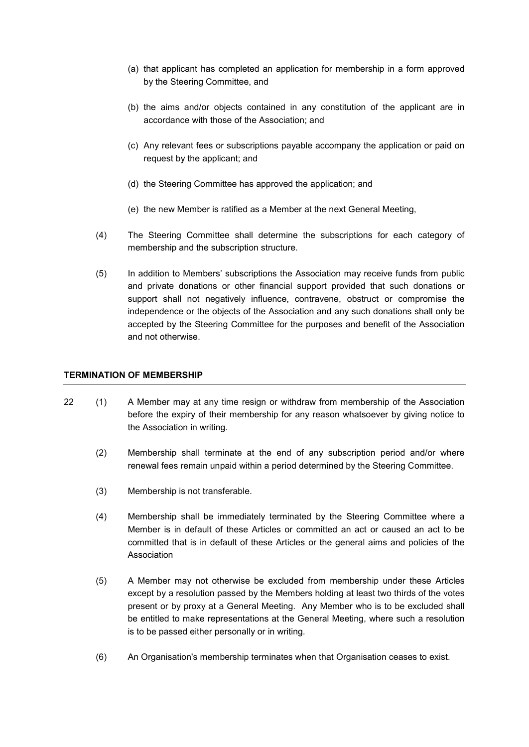- (a) that applicant has completed an application for membership in a form approved by the Steering Committee, and
- (b) the aims and/or objects contained in any constitution of the applicant are in accordance with those of the Association; and
- (c) Any relevant fees or subscriptions payable accompany the application or paid on request by the applicant; and
- (d) the Steering Committee has approved the application; and
- (e) the new Member is ratified as a Member at the next General Meeting,
- (4) The Steering Committee shall determine the subscriptions for each category of membership and the subscription structure.
- (5) In addition to Members' subscriptions the Association may receive funds from public and private donations or other financial support provided that such donations or support shall not negatively influence, contravene, obstruct or compromise the independence or the objects of the Association and any such donations shall only be accepted by the Steering Committee for the purposes and benefit of the Association and not otherwise.

### **TERMINATION OF MEMBERSHIP**

- 22 (1) A Member may at any time resign or withdraw from membership of the Association before the expiry of their membership for any reason whatsoever by giving notice to the Association in writing.
	- (2) Membership shall terminate at the end of any subscription period and/or where renewal fees remain unpaid within a period determined by the Steering Committee.
	- (3) Membership is not transferable.
	- (4) Membership shall be immediately terminated by the Steering Committee where a Member is in default of these Articles or committed an act or caused an act to be committed that is in default of these Articles or the general aims and policies of the Association
	- (5) A Member may not otherwise be excluded from membership under these Articles except by a resolution passed by the Members holding at least two thirds of the votes present or by proxy at a General Meeting. Any Member who is to be excluded shall be entitled to make representations at the General Meeting, where such a resolution is to be passed either personally or in writing.
	- (6) An Organisation's membership terminates when that Organisation ceases to exist.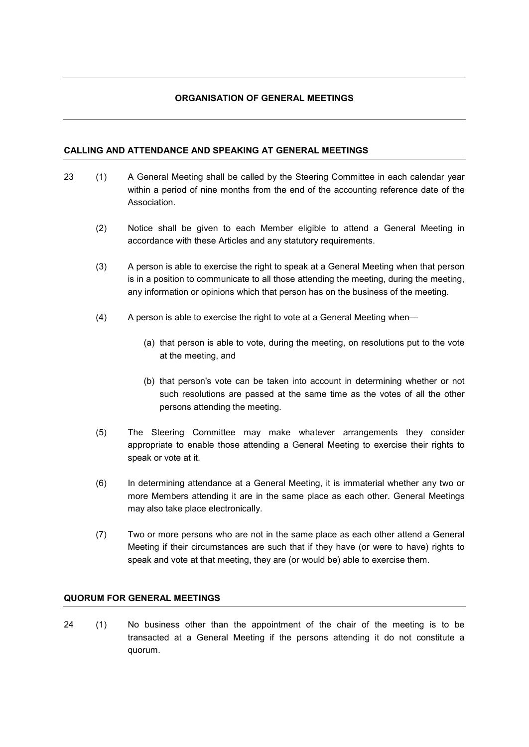## **ORGANISATION OF GENERAL MEETINGS**

## **CALLING AND ATTENDANCE AND SPEAKING AT GENERAL MEETINGS**

- 23 (1) A General Meeting shall be called by the Steering Committee in each calendar year within a period of nine months from the end of the accounting reference date of the Association.
	- (2) Notice shall be given to each Member eligible to attend a General Meeting in accordance with these Articles and any statutory requirements.
	- (3) A person is able to exercise the right to speak at a General Meeting when that person is in a position to communicate to all those attending the meeting, during the meeting, any information or opinions which that person has on the business of the meeting.
	- (4) A person is able to exercise the right to vote at a General Meeting when—
		- (a) that person is able to vote, during the meeting, on resolutions put to the vote at the meeting, and
		- (b) that person's vote can be taken into account in determining whether or not such resolutions are passed at the same time as the votes of all the other persons attending the meeting.
	- (5) The Steering Committee may make whatever arrangements they consider appropriate to enable those attending a General Meeting to exercise their rights to speak or vote at it.
	- (6) In determining attendance at a General Meeting, it is immaterial whether any two or more Members attending it are in the same place as each other. General Meetings may also take place electronically.
	- (7) Two or more persons who are not in the same place as each other attend a General Meeting if their circumstances are such that if they have (or were to have) rights to speak and vote at that meeting, they are (or would be) able to exercise them.

## **QUORUM FOR GENERAL MEETINGS**

24 (1) No business other than the appointment of the chair of the meeting is to be transacted at a General Meeting if the persons attending it do not constitute a quorum.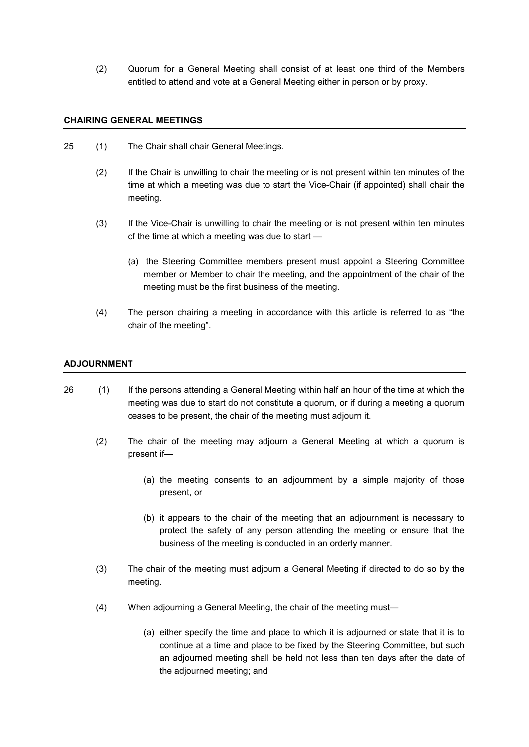(2) Quorum for a General Meeting shall consist of at least one third of the Members entitled to attend and vote at a General Meeting either in person or by proxy.

### **CHAIRING GENERAL MEETINGS**

- 25 (1) The Chair shall chair General Meetings.
	- (2) If the Chair is unwilling to chair the meeting or is not present within ten minutes of the time at which a meeting was due to start the Vice-Chair (if appointed) shall chair the meeting.
	- (3) If the Vice-Chair is unwilling to chair the meeting or is not present within ten minutes of the time at which a meeting was due to start —
		- (a) the Steering Committee members present must appoint a Steering Committee member or Member to chair the meeting, and the appointment of the chair of the meeting must be the first business of the meeting.
	- (4) The person chairing a meeting in accordance with this article is referred to as "the chair of the meeting".

## **ADJOURNMENT**

- 26 (1) If the persons attending a General Meeting within half an hour of the time at which the meeting was due to start do not constitute a quorum, or if during a meeting a quorum ceases to be present, the chair of the meeting must adjourn it.
	- (2) The chair of the meeting may adjourn a General Meeting at which a quorum is present if—
		- (a) the meeting consents to an adjournment by a simple majority of those present, or
		- (b) it appears to the chair of the meeting that an adjournment is necessary to protect the safety of any person attending the meeting or ensure that the business of the meeting is conducted in an orderly manner.
	- (3) The chair of the meeting must adjourn a General Meeting if directed to do so by the meeting.
	- (4) When adjourning a General Meeting, the chair of the meeting must—
		- (a) either specify the time and place to which it is adjourned or state that it is to continue at a time and place to be fixed by the Steering Committee, but such an adjourned meeting shall be held not less than ten days after the date of the adjourned meeting; and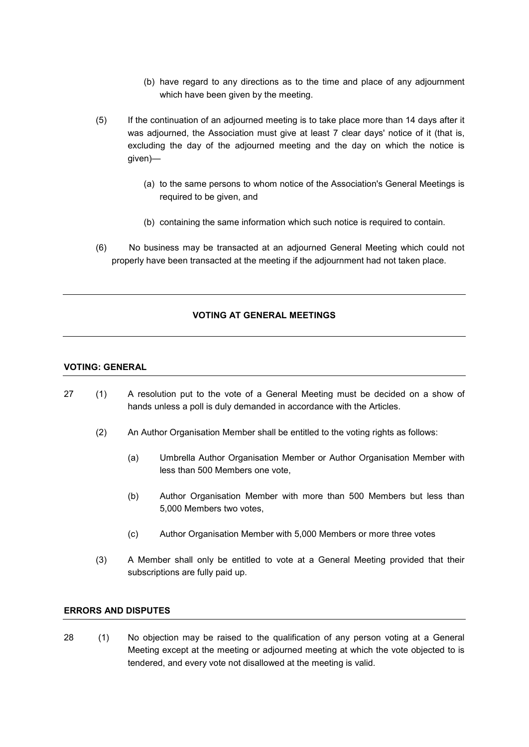- (b) have regard to any directions as to the time and place of any adjournment which have been given by the meeting.
- (5) If the continuation of an adjourned meeting is to take place more than 14 days after it was adjourned, the Association must give at least 7 clear days' notice of it (that is, excluding the day of the adjourned meeting and the day on which the notice is given)—
	- (a) to the same persons to whom notice of the Association's General Meetings is required to be given, and
	- (b) containing the same information which such notice is required to contain.
- (6) No business may be transacted at an adjourned General Meeting which could not properly have been transacted at the meeting if the adjournment had not taken place.

## **VOTING AT GENERAL MEETINGS**

#### **VOTING: GENERAL**

- 27 (1) A resolution put to the vote of a General Meeting must be decided on a show of hands unless a poll is duly demanded in accordance with the Articles.
	- (2) An Author Organisation Member shall be entitled to the voting rights as follows:
		- (a) Umbrella Author Organisation Member or Author Organisation Member with less than 500 Members one vote,
		- (b) Author Organisation Member with more than 500 Members but less than 5,000 Members two votes,
		- (c) Author Organisation Member with 5,000 Members or more three votes
	- (3) A Member shall only be entitled to vote at a General Meeting provided that their subscriptions are fully paid up.

## **ERRORS AND DISPUTES**

28 (1) No objection may be raised to the qualification of any person voting at a General Meeting except at the meeting or adjourned meeting at which the vote objected to is tendered, and every vote not disallowed at the meeting is valid.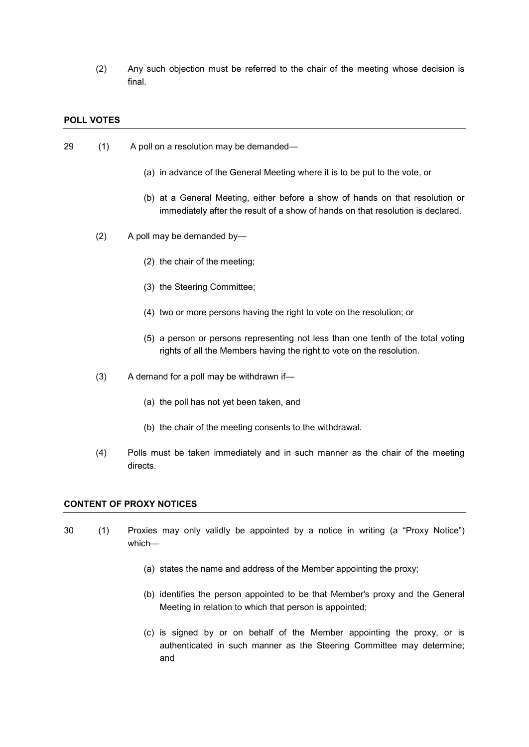(2) Any such objection must be referred to the chair of the meeting whose decision is final.

#### **POLL VOTES**

- 29 (1) A poll on a resolution may be demanded—
	- (a) in advance of the General Meeting where it is to be put to the vote, or
	- (b) at a General Meeting, either before a show of hands on that resolution or immediately after the result of a show of hands on that resolution is declared.
	- (2) A poll may be demanded by—
		- (2) the chair of the meeting;
		- (3) the Steering Committee;
		- (4) two or more persons having the right to vote on the resolution; or
		- (5) a person or persons representing not less than one tenth of the total voting rights of all the Members having the right to vote on the resolution.
	- (3) A demand for a poll may be withdrawn if—
		- (a) the poll has not yet been taken, and
		- (b) the chair of the meeting consents to the withdrawal.
	- (4) Polls must be taken immediately and in such manner as the chair of the meeting directs.

### **CONTENT OF PROXY NOTICES**

- 30 (1) Proxies may only validly be appointed by a notice in writing (a "Proxy Notice") which—
	- (a) states the name and address of the Member appointing the proxy;
	- (b) identifies the person appointed to be that Member's proxy and the General Meeting in relation to which that person is appointed;
	- (c) is signed by or on behalf of the Member appointing the proxy, or is authenticated in such manner as the Steering Committee may determine; and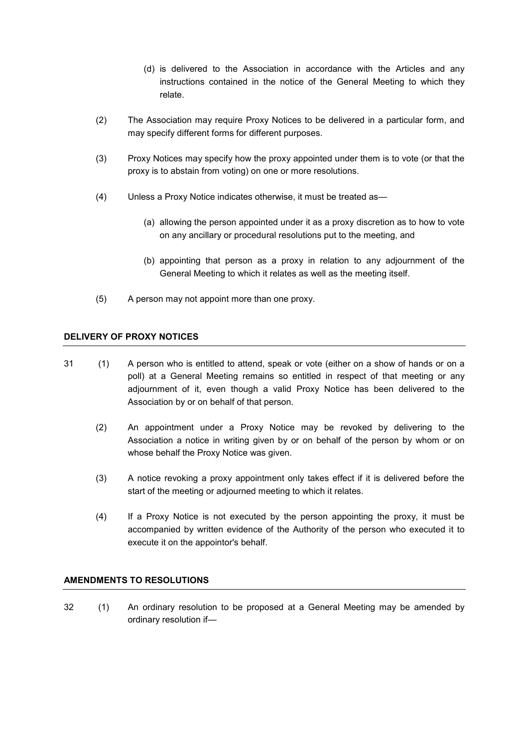- (d) is delivered to the Association in accordance with the Articles and any instructions contained in the notice of the General Meeting to which they relate.
- (2) The Association may require Proxy Notices to be delivered in a particular form, and may specify different forms for different purposes.
- (3) Proxy Notices may specify how the proxy appointed under them is to vote (or that the proxy is to abstain from voting) on one or more resolutions.
- (4) Unless a Proxy Notice indicates otherwise, it must be treated as—
	- (a) allowing the person appointed under it as a proxy discretion as to how to vote on any ancillary or procedural resolutions put to the meeting, and
	- (b) appointing that person as a proxy in relation to any adjournment of the General Meeting to which it relates as well as the meeting itself.
- (5) A person may not appoint more than one proxy.

## **DELIVERY OF PROXY NOTICES**

- 31 (1) A person who is entitled to attend, speak or vote (either on a show of hands or on a poll) at a General Meeting remains so entitled in respect of that meeting or any adjournment of it, even though a valid Proxy Notice has been delivered to the Association by or on behalf of that person.
	- (2) An appointment under a Proxy Notice may be revoked by delivering to the Association a notice in writing given by or on behalf of the person by whom or on whose behalf the Proxy Notice was given.
	- (3) A notice revoking a proxy appointment only takes effect if it is delivered before the start of the meeting or adjourned meeting to which it relates.
	- (4) If a Proxy Notice is not executed by the person appointing the proxy, it must be accompanied by written evidence of the Authority of the person who executed it to execute it on the appointor's behalf.

## **AMENDMENTS TO RESOLUTIONS**

32 (1) An ordinary resolution to be proposed at a General Meeting may be amended by ordinary resolution if—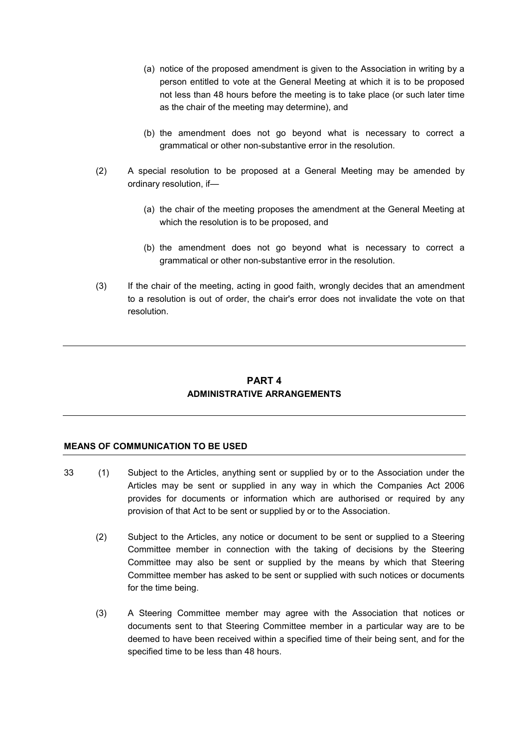- (a) notice of the proposed amendment is given to the Association in writing by a person entitled to vote at the General Meeting at which it is to be proposed not less than 48 hours before the meeting is to take place (or such later time as the chair of the meeting may determine), and
- (b) the amendment does not go beyond what is necessary to correct a grammatical or other non-substantive error in the resolution.
- (2) A special resolution to be proposed at a General Meeting may be amended by ordinary resolution, if—
	- (a) the chair of the meeting proposes the amendment at the General Meeting at which the resolution is to be proposed, and
	- (b) the amendment does not go beyond what is necessary to correct a grammatical or other non-substantive error in the resolution.
- (3) If the chair of the meeting, acting in good faith, wrongly decides that an amendment to a resolution is out of order, the chair's error does not invalidate the vote on that resolution.

## **PART 4 ADMINISTRATIVE ARRANGEMENTS**

#### **MEANS OF COMMUNICATION TO BE USED**

- 33 (1) Subject to the Articles, anything sent or supplied by or to the Association under the Articles may be sent or supplied in any way in which the Companies Act 2006 provides for documents or information which are authorised or required by any provision of that Act to be sent or supplied by or to the Association.
	- (2) Subject to the Articles, any notice or document to be sent or supplied to a Steering Committee member in connection with the taking of decisions by the Steering Committee may also be sent or supplied by the means by which that Steering Committee member has asked to be sent or supplied with such notices or documents for the time being.
	- (3) A Steering Committee member may agree with the Association that notices or documents sent to that Steering Committee member in a particular way are to be deemed to have been received within a specified time of their being sent, and for the specified time to be less than 48 hours.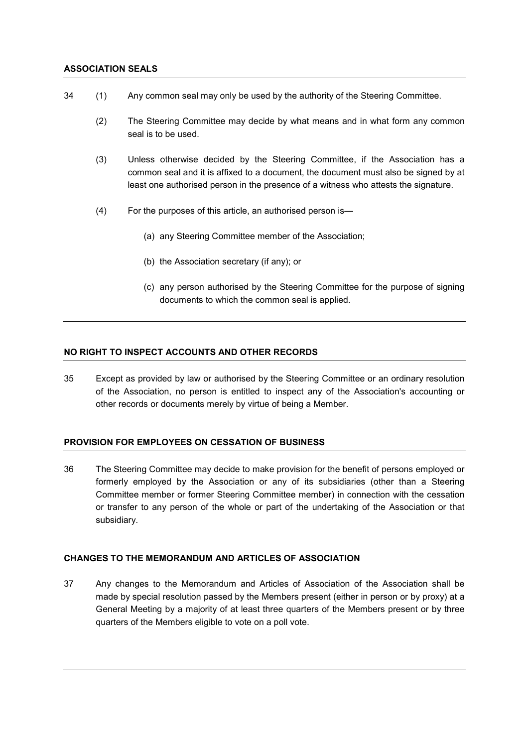### **ASSOCIATION SEALS**

- 34 (1) Any common seal may only be used by the authority of the Steering Committee.
	- (2) The Steering Committee may decide by what means and in what form any common seal is to be used.
	- (3) Unless otherwise decided by the Steering Committee, if the Association has a common seal and it is affixed to a document, the document must also be signed by at least one authorised person in the presence of a witness who attests the signature.
	- (4) For the purposes of this article, an authorised person is—
		- (a) any Steering Committee member of the Association;
		- (b) the Association secretary (if any); or
		- (c) any person authorised by the Steering Committee for the purpose of signing documents to which the common seal is applied.

### **NO RIGHT TO INSPECT ACCOUNTS AND OTHER RECORDS**

35 Except as provided by law or authorised by the Steering Committee or an ordinary resolution of the Association, no person is entitled to inspect any of the Association's accounting or other records or documents merely by virtue of being a Member.

## **PROVISION FOR EMPLOYEES ON CESSATION OF BUSINESS**

36 The Steering Committee may decide to make provision for the benefit of persons employed or formerly employed by the Association or any of its subsidiaries (other than a Steering Committee member or former Steering Committee member) in connection with the cessation or transfer to any person of the whole or part of the undertaking of the Association or that subsidiary.

## **CHANGES TO THE MEMORANDUM AND ARTICLES OF ASSOCIATION**

37 Any changes to the Memorandum and Articles of Association of the Association shall be made by special resolution passed by the Members present (either in person or by proxy) at a General Meeting by a majority of at least three quarters of the Members present or by three quarters of the Members eligible to vote on a poll vote.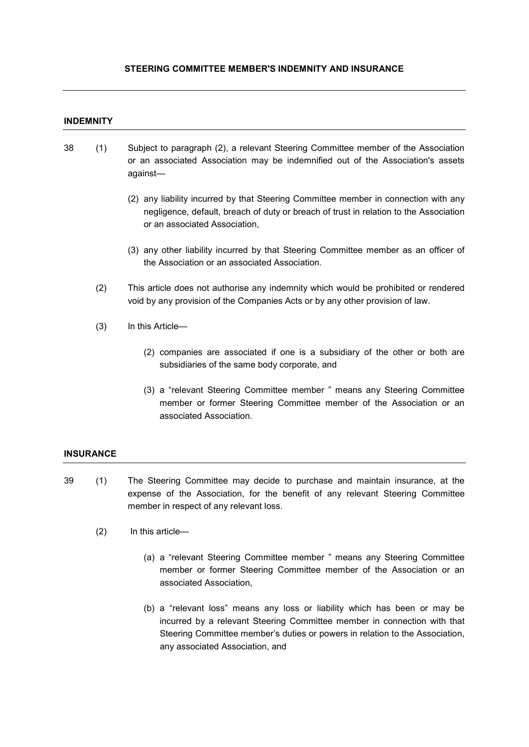## **STEERING COMMITTEE MEMBER'S INDEMNITY AND INSURANCE**

### **INDEMNITY**

- 38 (1) Subject to paragraph (2), a relevant Steering Committee member of the Association or an associated Association may be indemnified out of the Association's assets against—
	- (2) any liability incurred by that Steering Committee member in connection with any negligence, default, breach of duty or breach of trust in relation to the Association or an associated Association,
	- (3) any other liability incurred by that Steering Committee member as an officer of the Association or an associated Association.
	- (2) This article does not authorise any indemnity which would be prohibited or rendered void by any provision of the Companies Acts or by any other provision of law.
	- (3) In this Article—
		- (2) companies are associated if one is a subsidiary of the other or both are subsidiaries of the same body corporate, and
		- (3) a "relevant Steering Committee member " means any Steering Committee member or former Steering Committee member of the Association or an associated Association.

## **INSURANCE**

- 39 (1) The Steering Committee may decide to purchase and maintain insurance, at the expense of the Association, for the benefit of any relevant Steering Committee member in respect of any relevant loss.
	- (2) In this article—
		- (a) a "relevant Steering Committee member " means any Steering Committee member or former Steering Committee member of the Association or an associated Association,
		- (b) a "relevant loss" means any loss or liability which has been or may be incurred by a relevant Steering Committee member in connection with that Steering Committee member's duties or powers in relation to the Association, any associated Association, and